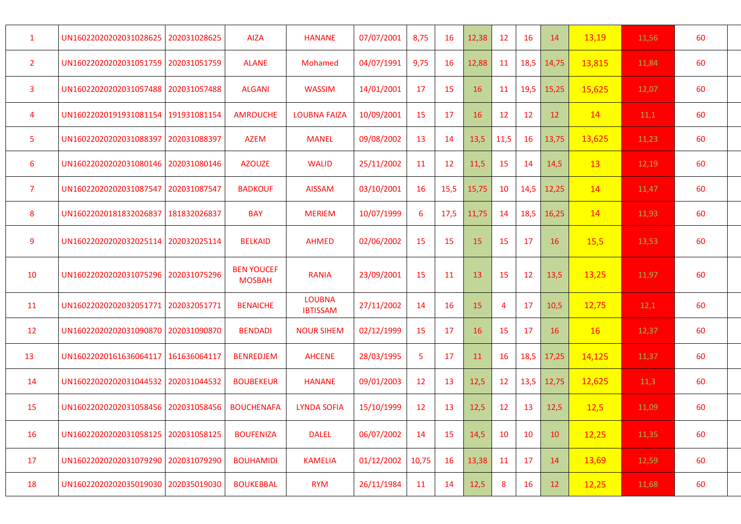| $\mathbf{1}$   | UN16022020202031028625                | 202031028625 | <b>AIZA</b>                        | <b>HANANE</b>                    | 07/07/2001 | 8,75  | 16   | 12,38 | 12             | 16   | 14    | 13,19  | 11,56 | 60 |
|----------------|---------------------------------------|--------------|------------------------------------|----------------------------------|------------|-------|------|-------|----------------|------|-------|--------|-------|----|
| $\overline{2}$ | UN16022020202031051759   202031051759 |              | <b>ALANE</b>                       | Mohamed                          | 04/07/1991 | 9,75  | 16   | 12,88 | 11             | 18,5 | 14,75 | 13,815 | 11,84 | 60 |
| 3              | UN16022020202031057488 202031057488   |              | <b>ALGANI</b>                      | <b>WASSIM</b>                    | 14/01/2001 | 17    | 15   | 16    | 11             | 19,5 | 15,25 | 15,625 | 12,07 | 60 |
| $\overline{4}$ | UN16022020191931081154   191931081154 |              | <b>AMROUCHE</b>                    | <b>LOUBNA FAIZA</b>              | 10/09/2001 | 15    | 17   | 16    | 12             | 12   | 12    | 14     | 11,1  | 60 |
| 5              | UN16022020202031088397                | 202031088397 | <b>AZEM</b>                        | <b>MANEL</b>                     | 09/08/2002 | 13    | 14   | 13,5  | 11,5           | 16   | 13,75 | 13,625 | 11,23 | 60 |
| 6              | UN16022020202031080146   202031080146 |              | <b>AZOUZE</b>                      | <b>WALID</b>                     | 25/11/2002 | 11    | 12   | 11,5  | 15             | 14   | 14,5  | 13     | 12,19 | 60 |
| $\overline{7}$ | UN16022020202031087547                | 202031087547 | <b>BADKOUF</b>                     | <b>AISSAM</b>                    | 03/10/2001 | 16    | 15,5 | 15,75 | 10             | 14,5 | 12,25 | 14     | 11,47 | 60 |
| 8              | UN16022020181832026837                | 181832026837 | <b>BAY</b>                         | <b>MERIEM</b>                    | 10/07/1999 | 6     | 17,5 | 11,75 | 14             | 18,5 | 16,25 | 14     | 11,93 | 60 |
| 9              | UN16022020202032025114 202032025114   |              | <b>BELKAID</b>                     | <b>AHMED</b>                     | 02/06/2002 | 15    | 15   | 15    | 15             | 17   | 16    | 15,5   | 13,53 | 60 |
| 10             | UN16022020202031075296 202031075296   |              | <b>BEN YOUCEF</b><br><b>MOSBAH</b> | <b>RANIA</b>                     | 23/09/2001 | 15    | 11   | 13    | 15             | 12   | 13,5  | 13,25  | 11,97 | 60 |
| 11             | UN16022020202032051771                | 202032051771 | <b>BENAICHE</b>                    | <b>LOUBNA</b><br><b>IBTISSAM</b> | 27/11/2002 | 14    | 16   | 15    | $\overline{4}$ | 17   | 10,5  | 12,75  | 12,1  | 60 |
| 12             | UN16022020202031090870 202031090870   |              | <b>BENDADI</b>                     | <b>NOUR SIHEM</b>                | 02/12/1999 | 15    | 17   | 16    | 15             | 17   | 16    | 16     | 12,37 | 60 |
| 13             | UN16022020161636064117   161636064117 |              | <b>BENREDJEM</b>                   | <b>AHCENE</b>                    | 28/03/1995 | -5    | 17   | 11    | 16             | 18,5 | 17,25 | 14,125 | 11,37 | 60 |
| 14             | UN16022020202031044532                | 202031044532 | <b>BOUBEKEUR</b>                   | <b>HANANE</b>                    | 09/01/2003 | 12    | 13   | 12,5  | 12             | 13,5 | 12,75 | 12,625 | 11,3  | 60 |
| 15             | UN16022020202031058456                | 202031058456 | <b>BOUCHENAFA</b>                  | <b>LYNDA SOFIA</b>               | 15/10/1999 | 12    | 13   | 12,5  | 12             | 13   | 12,5  | 12,5   | 11,09 | 60 |
| 16             | UN16022020202031058125                | 202031058125 | <b>BOUFENIZA</b>                   | <b>DALEL</b>                     | 06/07/2002 | 14    | 15   | 14,5  | 10             | 10   | 10    | 12,25  | 11,35 | 60 |
| 17             | UN16022020202031079290                | 202031079290 | <b>BOUHAMIDI</b>                   | <b>KAMELIA</b>                   | 01/12/2002 | 10,75 | 16   | 13,38 | 11             | 17   | 14    | 13,69  | 12,59 | 60 |
| 18             | UN16022020202035019030   202035019030 |              | <b>BOUKEBBAL</b>                   | <b>RYM</b>                       | 26/11/1984 | 11    | 14   | 12,5  | 8              | 16   | 12    | 12,25  | 11,68 | 60 |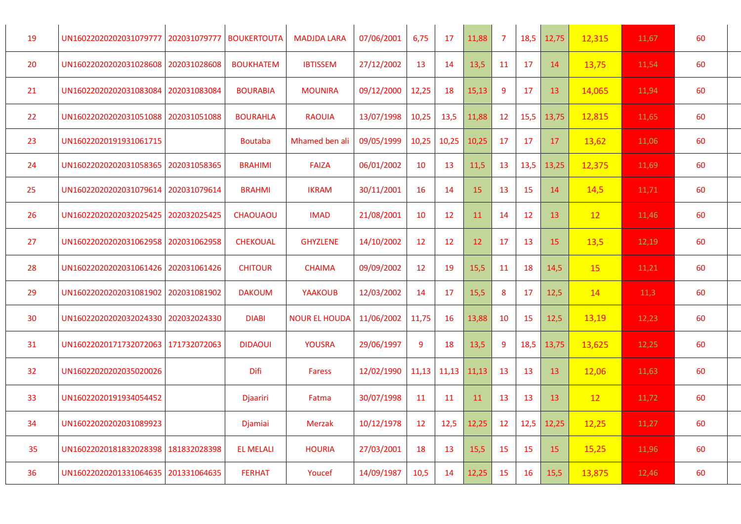| 19 | UN16022020202031079777                | 202031079777 | <b>BOUKERTOUTA</b> | <b>MADJDA LARA</b>   | 07/06/2001 | 6,75  | 17    | 11,88           | $\overline{7}$ | 18,5 | 12,75           | 12,315 | 11,67 | 60 |
|----|---------------------------------------|--------------|--------------------|----------------------|------------|-------|-------|-----------------|----------------|------|-----------------|--------|-------|----|
| 20 | UN16022020202031028608                | 202031028608 | <b>BOUKHATEM</b>   | <b>IBTISSEM</b>      | 27/12/2002 | 13    | 14    | 13,5            | 11             | 17   | 14              | 13,75  | 11,54 | 60 |
| 21 | UN16022020202031083084                | 202031083084 | <b>BOURABIA</b>    | <b>MOUNIRA</b>       | 09/12/2000 | 12,25 | 18    | 15,13           | 9              | 17   | 13              | 14,065 | 11,94 | 60 |
| 22 | UN16022020202031051088                | 202031051088 | <b>BOURAHLA</b>    | <b>RAOUIA</b>        | 13/07/1998 | 10,25 | 13,5  | 11,88           | 12             | 15,5 | 13,75           | 12,815 | 11,65 | 60 |
| 23 | UN16022020191931061715                |              | <b>Boutaba</b>     | Mhamed ben ali       | 09/05/1999 | 10,25 | 10,25 | 10,25           | 17             | 17   | 17              | 13,62  | 11,06 | 60 |
| 24 | UN16022020202031058365                | 202031058365 | <b>BRAHIMI</b>     | <b>FAIZA</b>         | 06/01/2002 | 10    | 13    | 11,5            | 13             | 13,5 | 13,25           | 12,375 | 11,69 | 60 |
| 25 | UN16022020202031079614 202031079614   |              | <b>BRAHMI</b>      | <b>IKRAM</b>         | 30/11/2001 | 16    | 14    | 15              | 13             | 15   | 14              | 14,5   | 11,71 | 60 |
| 26 | UN16022020202032025425                | 202032025425 | <b>CHAOUAOU</b>    | <b>IMAD</b>          | 21/08/2001 | 10    | 12    | 11              | 14             | 12   | 13 <sup>2</sup> | 12     | 11,46 | 60 |
| 27 | UN16022020202031062958                | 202031062958 | <b>CHEKOUAL</b>    | <b>GHYZLENE</b>      | 14/10/2002 | 12    | 12    | 12 <sup>2</sup> | 17             | 13   | 15              | 13,5   | 12,19 | 60 |
| 28 | UN16022020202031061426   202031061426 |              | <b>CHITOUR</b>     | <b>CHAIMA</b>        | 09/09/2002 | 12    | 19    | 15,5            | 11             | 18   | 14,5            | 15     | 11,21 | 60 |
| 29 | UN16022020202031081902                | 202031081902 | <b>DAKOUM</b>      | <b>YAAKOUB</b>       | 12/03/2002 | 14    | 17    | 15,5            | 8              | 17   | 12,5            | 14     | 11,3  | 60 |
| 30 | UN16022020202032024330                | 202032024330 | <b>DIABI</b>       | <b>NOUR EL HOUDA</b> | 11/06/2002 | 11,75 | 16    | 13,88           | 10             | 15   | 12,5            | 13,19  | 12,23 | 60 |
| 31 | UN16022020171732072063   171732072063 |              | <b>DIDAOUI</b>     | <b>YOUSRA</b>        | 29/06/1997 | 9     | 18    | 13,5            | 9              | 18,5 | 13,75           | 13,625 | 12,25 | 60 |
| 32 | UN16022020202035020026                |              | Difi               | <b>Faress</b>        | 12/02/1990 | 11,13 | 11,13 | 11,13           | 13             | 13   | 13              | 12,06  | 11,63 | 60 |
| 33 | UN16022020191934054452                |              | Djaariri           | Fatma                | 30/07/1998 | 11    | 11    | <b>11</b>       | 13             | 13   | 13 <sup>°</sup> | 12     | 11,72 | 60 |
| 34 | UN16022020202031089923                |              | Djamiai            | <b>Merzak</b>        | 10/12/1978 | 12    | 12,5  | 12,25           | 12             | 12,5 | 12,25           | 12,25  | 11,27 | 60 |
| 35 | UN16022020181832028398                | 181832028398 | <b>EL MELALI</b>   | <b>HOURIA</b>        | 27/03/2001 | 18    | 13    | 15,5            | 15             | 15   | 15              | 15,25  | 11,96 | 60 |
| 36 | UN16022020201331064635 201331064635   |              | <b>FERHAT</b>      | Youcef               | 14/09/1987 | 10,5  | 14    | 12,25           | 15             | 16   | 15,5            | 13,875 | 12,46 | 60 |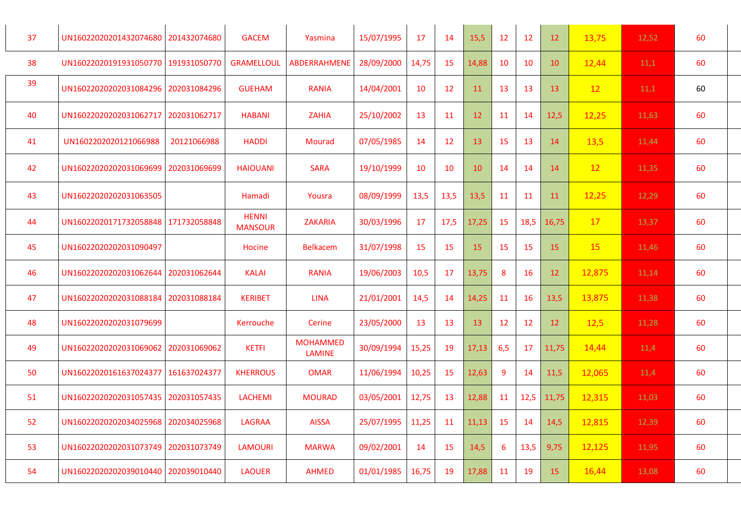| 37 | UN16022020201432074680              | 201432074680 | <b>GACEM</b>                   | Yasmina                          | 15/07/1995 | 17    | 14              | 15,5  | 12        | 12   | 12 <sup>2</sup> | 13,75  | 12,52 | 60 |
|----|-------------------------------------|--------------|--------------------------------|----------------------------------|------------|-------|-----------------|-------|-----------|------|-----------------|--------|-------|----|
| 38 | UN16022020191931050770              | 191931050770 | <b>GRAMELLOUL</b>              | <b>ABDERRAHMENE</b>              | 28/09/2000 | 14,75 | 15              | 14,88 | 10        | 10   | 10              | 12,44  | 11,1  | 60 |
| 39 | UN16022020202031084296              | 202031084296 | <b>GUEHAM</b>                  | <b>RANIA</b>                     | 14/04/2001 | 10    | 12 <sup>2</sup> | 11    | 13        | 13   | 13              | 12     | 11,1  | 60 |
| 40 | UN16022020202031062717              | 202031062717 | <b>HABANI</b>                  | <b>ZAHIA</b>                     | 25/10/2002 | 13    | 11              | 12    | 11        | 14   | 12,5            | 12,25  | 11,63 | 60 |
| 41 | UN1602202020121066988               | 20121066988  | <b>HADDI</b>                   | <b>Mourad</b>                    | 07/05/1985 | 14    | 12 <sup>2</sup> | 13    | 15        | 13   | 14              | 13,5   | 11,44 | 60 |
| 42 | UN16022020202031069699              | 202031069699 | <b>HAIOUANI</b>                | <b>SARA</b>                      | 19/10/1999 | 10    | 10              | 10    | 14        | 14   | 14              | 12     | 11,35 | 60 |
| 43 | UN16022020202031063505              |              | Hamadi                         | Yousra                           | 08/09/1999 | 13,5  | 13,5            | 13,5  | <b>11</b> | 11   | 11              | 12,25  | 12,29 | 60 |
| 44 | UN16022020171732058848              | 171732058848 | <b>HENNI</b><br><b>MANSOUR</b> | <b>ZAKARIA</b>                   | 30/03/1996 | 17    | 17,5            | 17,25 | <b>15</b> | 18,5 | 16,75           | 17     | 13,37 | 60 |
| 45 | UN16022020202031090497              |              | Hocine                         | <b>Belkacem</b>                  | 31/07/1998 | 15    | 15              | 15    | 15        | 15   | 15              | 15     | 11,46 | 60 |
| 46 | UN16022020202031062644              | 202031062644 | <b>KALAI</b>                   | <b>RANIA</b>                     | 19/06/2003 | 10,5  | 17              | 13,75 | 8         | 16   | 12              | 12,875 | 11,14 | 60 |
| 47 | UN16022020202031088184              | 202031088184 | <b>KERIBET</b>                 | <b>LINA</b>                      | 21/01/2001 | 14,5  | 14              | 14,25 | 11        | 16   | 13,5            | 13,875 | 11,38 | 60 |
| 48 | UN16022020202031079699              |              | Kerrouche                      | Cerine                           | 23/05/2000 | 13    | 13              | 13    | 12        | 12   | 12              | 12,5   | 11,28 | 60 |
| 49 | UN16022020202031069062 202031069062 |              | <b>KETFI</b>                   | <b>MOHAMMED</b><br><b>LAMINE</b> | 30/09/1994 | 15,25 | 19              | 17,13 | 6,5       | 17   | 11,75           | 14,44  | 11,4  | 60 |
| 50 | UN16022020161637024377              | 161637024377 | <b>KHERROUS</b>                | <b>OMAR</b>                      | 11/06/1994 | 10,25 | 15              | 12,63 | 9         | 14   | 11,5            | 12,065 | 11,4  | 60 |
| 51 | UN16022020202031057435 202031057435 |              | <b>LACHEMI</b>                 | <b>MOURAD</b>                    | 03/05/2001 | 12,75 | 13              | 12,88 | 11        | 12,5 | 11,75           | 12,315 | 11,03 | 60 |
| 52 | UN16022020202034025968              | 202034025968 | <b>LAGRAA</b>                  | <b>AISSA</b>                     | 25/07/1995 | 11,25 | 11              | 11,13 | 15        | 14   | 14,5            | 12,815 | 12,39 | 60 |
| 53 | UN16022020202031073749              | 202031073749 | <b>LAMOURI</b>                 | <b>MARWA</b>                     | 09/02/2001 | 14    | 15              | 14,5  | 6         | 13,5 | 9,75            | 12,125 | 11,95 | 60 |
| 54 | UN16022020202039010440 202039010440 |              | <b>LAOUER</b>                  | <b>AHMED</b>                     | 01/01/1985 | 16,75 | 19              | 17,88 | 11        | 19   | 15              | 16,44  | 13,08 | 60 |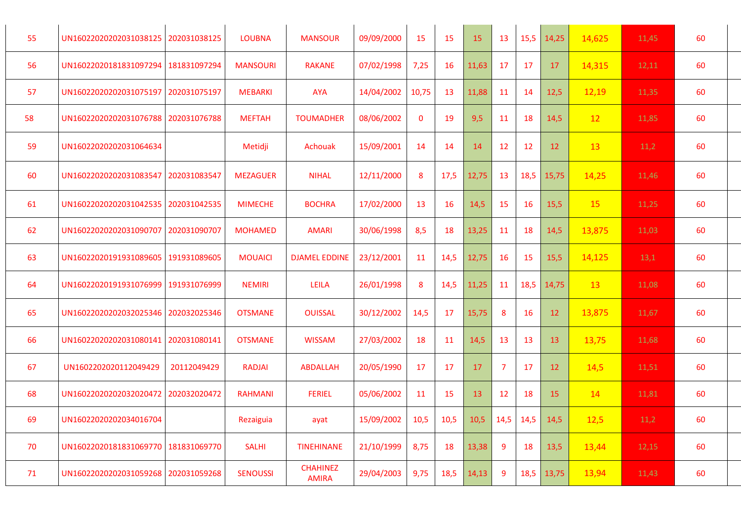| 55 | UN16022020202031038125 202031038125   |              | <b>LOUBNA</b>   | <b>MANSOUR</b>                  | 09/09/2000 | 15          | 15   | 15    | 13             |             | 15,5 14,25   | 14,625 | 11,45 | 60 |
|----|---------------------------------------|--------------|-----------------|---------------------------------|------------|-------------|------|-------|----------------|-------------|--------------|--------|-------|----|
| 56 | UN16022020181831097294   181831097294 |              | <b>MANSOURI</b> | <b>RAKANE</b>                   | 07/02/1998 | 7,25        | 16   | 11,63 | 17             | 17          | 17           | 14,315 | 12,11 | 60 |
| 57 | UN16022020202031075197 202031075197   |              | <b>MEBARKI</b>  | <b>AYA</b>                      | 14/04/2002 | 10,75       | 13   | 11,88 | 11             | 14          | 12,5         | 12,19  | 11,35 | 60 |
| 58 | UN16022020202031076788 202031076788   |              | <b>MEFTAH</b>   | <b>TOUMADHER</b>                | 08/06/2002 | $\mathbf 0$ | 19   | 9,5   | 11             | 18          | 14,5         | 12     | 11,85 | 60 |
| 59 | UN16022020202031064634                |              | Metidji         | Achouak                         | 15/09/2001 | 14          | 14   | 14    | 12             | 12          | 12           | 13     | 11,2  | 60 |
| 60 | UN16022020202031083547   202031083547 |              | <b>MEZAGUER</b> | <b>NIHAL</b>                    | 12/11/2000 | 8           | 17,5 | 12,75 | 13             | 18,5        | 15,75        | 14,25  | 11,46 | 60 |
| 61 | UN16022020202031042535 202031042535   |              | <b>MIMECHE</b>  | <b>BOCHRA</b>                   | 17/02/2000 | 13          | 16   | 14,5  | 15             | 16          | 15,5         | 15     | 11,25 | 60 |
| 62 | UN16022020202031090707   202031090707 |              | <b>MOHAMED</b>  | <b>AMARI</b>                    | 30/06/1998 | 8,5         | 18   | 13,25 | 11             | 18          | 14,5         | 13,875 | 11,03 | 60 |
| 63 | UN16022020191931089605   191931089605 |              | <b>MOUAICI</b>  | <b>DJAMEL EDDINE</b>            | 23/12/2001 | 11          | 14,5 | 12,75 | 16             | 15          | 15,5         | 14,125 | 13,1  | 60 |
| 64 | UN16022020191931076999   191931076999 |              | <b>NEMIRI</b>   | LEILA                           | 26/01/1998 | 8           | 14,5 | 11,25 | 11             | 18,5        | 14,75        | 13     | 11,08 | 60 |
| 65 | UN16022020202032025346 202032025346   |              | <b>OTSMANE</b>  | <b>OUISSAL</b>                  | 30/12/2002 | 14,5        | 17   | 15,75 | 8              | 16          | 12           | 13,875 | 11,67 | 60 |
| 66 | UN16022020202031080141                | 202031080141 | <b>OTSMANE</b>  | <b>WISSAM</b>                   | 27/03/2002 | 18          | 11   | 14,5  | 13             | 13          | 13           | 13,75  | 11,68 | 60 |
| 67 | UN1602202020112049429                 | 20112049429  | <b>RADJAI</b>   | <b>ABDALLAH</b>                 | 20/05/1990 | 17          | 17   | 17    | $\overline{7}$ | 17          | 12           | 14,5   | 11,51 | 60 |
| 68 | UN16022020202032020472                | 202032020472 | <b>RAHMANI</b>  | <b>FERIEL</b>                   | 05/06/2002 | 11          | 15   | 13    | 12             | 18          | 15           | 14     | 11,81 | 60 |
| 69 | UN16022020202034016704                |              | Rezaiguia       | ayat                            | 15/09/2002 | 10,5        | 10,5 | 10,5  |                | $14,5$ 14,5 | 14,5         | 12,5   | 11,2  | 60 |
| 70 | UN16022020181831069770   181831069770 |              | <b>SALHI</b>    | <b>TINEHINANE</b>               | 21/10/1999 | 8,75        | 18   | 13,38 | $\overline{9}$ | 18          | 13,5         | 13,44  | 12,15 | 60 |
| 71 | UN16022020202031059268 202031059268   |              | <b>SENOUSSI</b> | <b>CHAHINEZ</b><br><b>AMIRA</b> | 29/04/2003 | 9,75        | 18,5 | 14,13 | 9              |             | $18,5$ 13,75 | 13,94  | 11,43 | 60 |